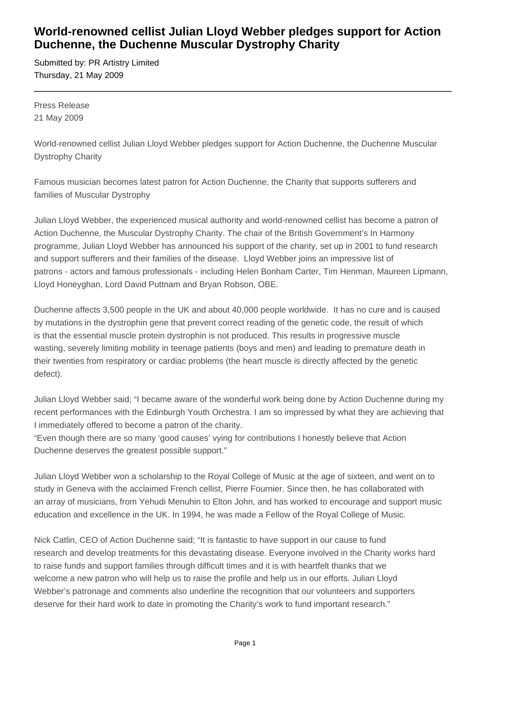## **World-renowned cellist Julian Lloyd Webber pledges support for Action Duchenne, the Duchenne Muscular Dystrophy Charity**

Submitted by: PR Artistry Limited Thursday, 21 May 2009

Press Release 21 May 2009

World-renowned cellist Julian Lloyd Webber pledges support for Action Duchenne, the Duchenne Muscular Dystrophy Charity

Famous musician becomes latest patron for Action Duchenne, the Charity that supports sufferers and families of Muscular Dystrophy

Julian Lloyd Webber, the experienced musical authority and world-renowned cellist has become a patron of Action Duchenne, the Muscular Dystrophy Charity. The chair of the British Government's In Harmony programme, Julian Lloyd Webber has announced his support of the charity, set up in 2001 to fund research and support sufferers and their families of the disease. Lloyd Webber joins an impressive list of patrons - actors and famous professionals - including Helen Bonham Carter, Tim Henman, Maureen Lipmann, Lloyd Honeyghan, Lord David Puttnam and Bryan Robson, OBE.

Duchenne affects 3,500 people in the UK and about 40,000 people worldwide. It has no cure and is caused by mutations in the dystrophin gene that prevent correct reading of the genetic code, the result of which is that the essential muscle protein dystrophin is not produced. This results in progressive muscle wasting, severely limiting mobility in teenage patients (boys and men) and leading to premature death in their twenties from respiratory or cardiac problems (the heart muscle is directly affected by the genetic defect).

Julian Lloyd Webber said; "I became aware of the wonderful work being done by Action Duchenne during my recent performances with the Edinburgh Youth Orchestra. I am so impressed by what they are achieving that I immediately offered to become a patron of the charity.

"Even though there are so many 'good causes' vying for contributions I honestly believe that Action Duchenne deserves the greatest possible support."

Julian Lloyd Webber won a scholarship to the Royal College of Music at the age of sixteen, and went on to study in Geneva with the acclaimed French cellist, Pierre Fournier. Since then, he has collaborated with an array of musicians, from Yehudi Menuhin to Elton John, and has worked to encourage and support music education and excellence in the UK. In 1994, he was made a Fellow of the Royal College of Music.

Nick Catlin, CEO of Action Duchenne said; "It is fantastic to have support in our cause to fund research and develop treatments for this devastating disease. Everyone involved in the Charity works hard to raise funds and support families through difficult times and it is with heartfelt thanks that we welcome a new patron who will help us to raise the profile and help us in our efforts. Julian Lloyd Webber's patronage and comments also underline the recognition that our volunteers and supporters deserve for their hard work to date in promoting the Charity's work to fund important research."